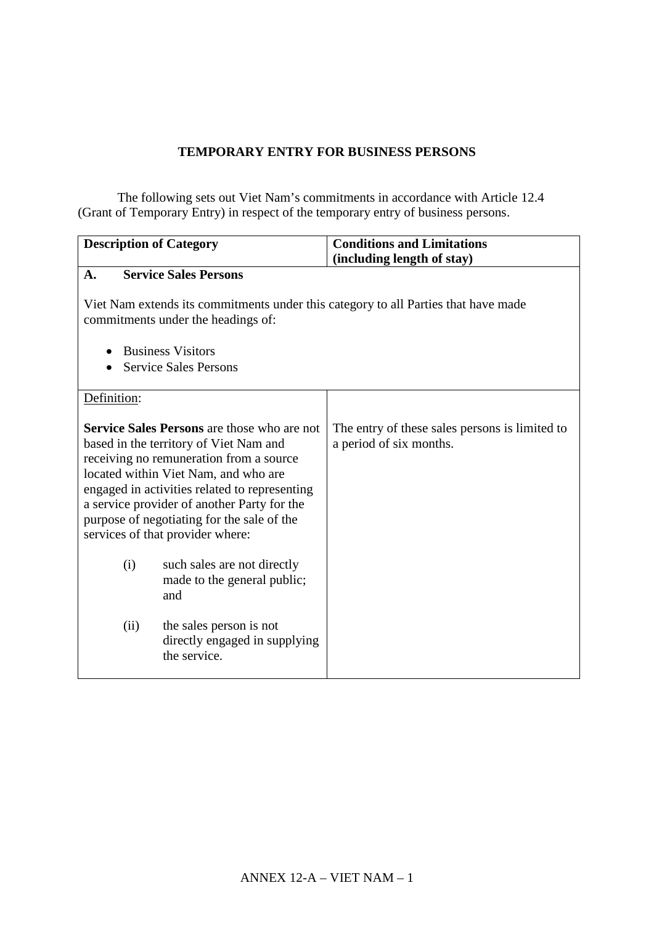# **TEMPORARY ENTRY FOR BUSINESS PERSONS**

The following sets out Viet Nam's commitments in accordance with Article 12.4 (Grant of Temporary Entry) in respect of the temporary entry of business persons.

| <b>Description of Category</b>                                                                                                                                                                                                                                                                                                                                    | <b>Conditions and Limitations</b><br>(including length of stay)           |
|-------------------------------------------------------------------------------------------------------------------------------------------------------------------------------------------------------------------------------------------------------------------------------------------------------------------------------------------------------------------|---------------------------------------------------------------------------|
| <b>Service Sales Persons</b><br>A.                                                                                                                                                                                                                                                                                                                                |                                                                           |
| Viet Nam extends its commitments under this category to all Parties that have made<br>commitments under the headings of:                                                                                                                                                                                                                                          |                                                                           |
| <b>Business Visitors</b>                                                                                                                                                                                                                                                                                                                                          |                                                                           |
| <b>Service Sales Persons</b>                                                                                                                                                                                                                                                                                                                                      |                                                                           |
| Definition:                                                                                                                                                                                                                                                                                                                                                       |                                                                           |
| <b>Service Sales Persons</b> are those who are not<br>based in the territory of Viet Nam and<br>receiving no remuneration from a source<br>located within Viet Nam, and who are<br>engaged in activities related to representing<br>a service provider of another Party for the<br>purpose of negotiating for the sale of the<br>services of that provider where: | The entry of these sales persons is limited to<br>a period of six months. |
| (i)<br>such sales are not directly<br>made to the general public;<br>and                                                                                                                                                                                                                                                                                          |                                                                           |
| (ii)<br>the sales person is not<br>directly engaged in supplying<br>the service.                                                                                                                                                                                                                                                                                  |                                                                           |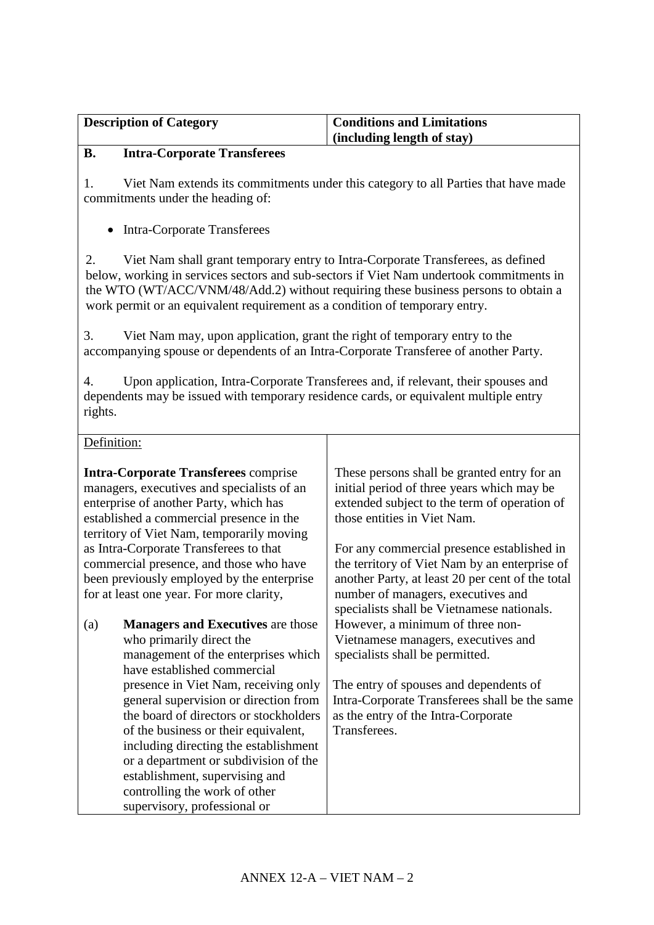| <b>Description of Category</b> | <b>Conditions and Limitations</b> |
|--------------------------------|-----------------------------------|
|                                | $\int$ (including length of stay) |

#### **B. Intra-Corporate Transferees**

1. Viet Nam extends its commitments under this category to all Parties that have made commitments under the heading of:

• Intra-Corporate Transferees

2. Viet Nam shall grant temporary entry to Intra-Corporate Transferees, as defined below, working in services sectors and sub-sectors if Viet Nam undertook commitments in the WTO (WT/ACC/VNM/48/Add.2) without requiring these business persons to obtain a work permit or an equivalent requirement as a condition of temporary entry.

3. Viet Nam may, upon application, grant the right of temporary entry to the accompanying spouse or dependents of an Intra-Corporate Transferee of another Party.

4. Upon application, Intra-Corporate Transferees and, if relevant, their spouses and dependents may be issued with temporary residence cards, or equivalent multiple entry rights.

Definition:

**Intra-Corporate Transferees** comprise managers, executives and specialists of an enterprise of another Party, which has established a commercial presence in the territory of Viet Nam, temporarily moving as Intra-Corporate Transferees to that commercial presence, and those who have been previously employed by the enterprise for at least one year. For more clarity, (a) **Managers and Executives** are those who primarily direct the management of the enterprises which have established commercial presence in Viet Nam, receiving only general supervision or direction from the board of directors or stockholders of the business or their equivalent, including directing the establishment or a department or subdivision of the establishment, supervising and controlling the work of other supervisory, professional or These persons shall be granted entry for an initial period of three years which may be extended subject to the term of operation of those entities in Viet Nam. For any commercial presence established in the territory of Viet Nam by an enterprise of another Party, at least 20 per cent of the total number of managers, executives and specialists shall be Vietnamese nationals. However, a minimum of three non-Vietnamese managers, executives and specialists shall be permitted. The entry of spouses and dependents of Intra-Corporate Transferees shall be the same as the entry of the Intra-Corporate Transferees.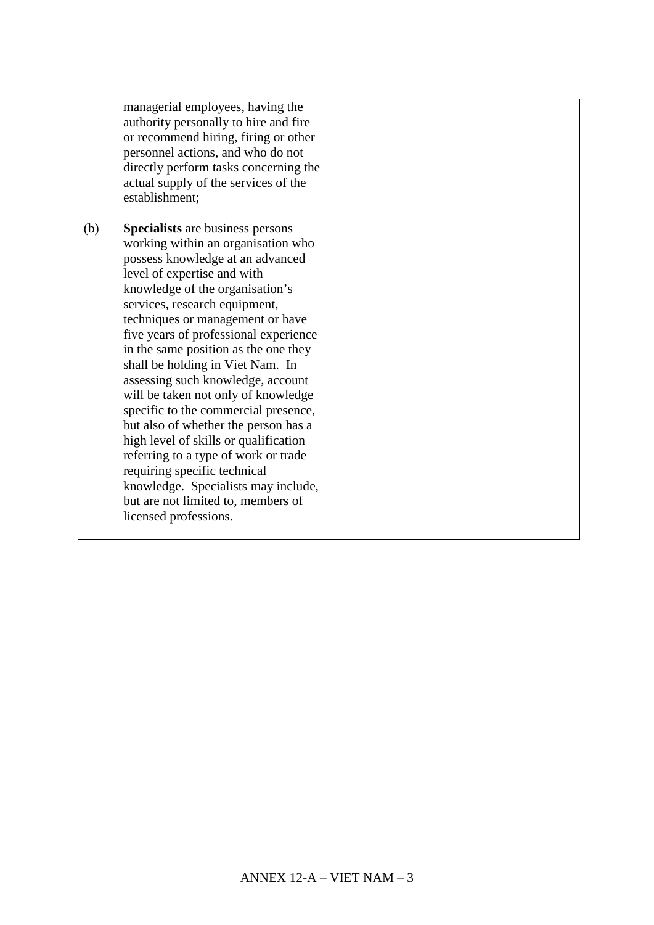managerial employees, having the authority personally to hire and fire or recommend hiring, firing or other personnel actions, and who do not directly perform tasks concerning the actual supply of the services of the establishment;

(b) **Specialists** are business persons working within an organisation who possess knowledge at an advanced level of expertise and with knowledge of the organisation's services, research equipment, techniques or management or have five years of professional experience in the same position as the one they shall be holding in Viet Nam. In assessing such knowledge, account will be taken not only of knowledge specific to the commercial presence, but also of whether the person has a high level of skills or qualification referring to a type of work or trade requiring specific technical knowledge. Specialists may include, but are not limited to, members of licensed professions.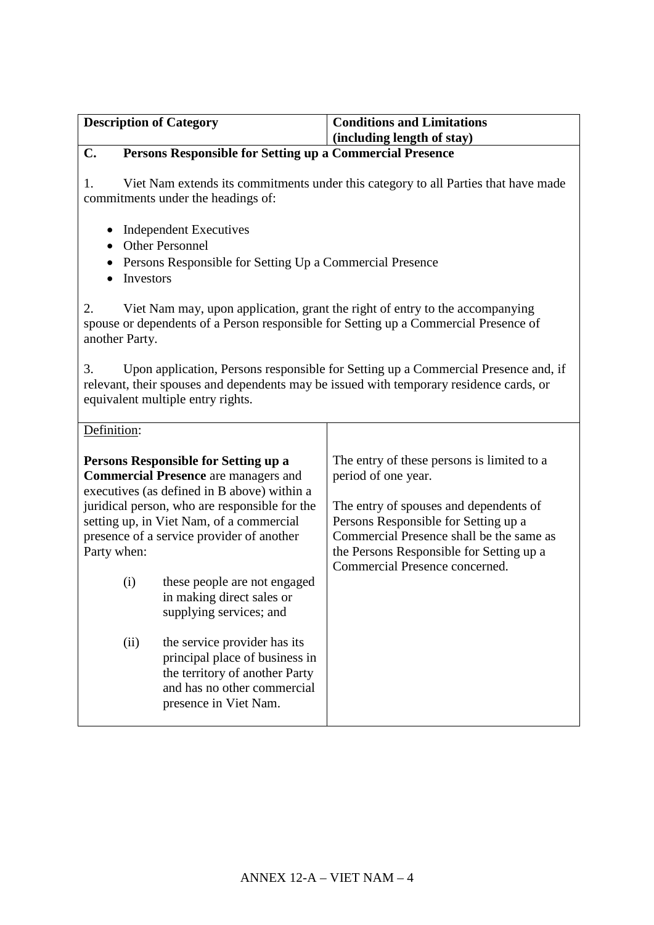| <b>Description of Category</b> |                                                                                                                                                                                                                                                                              | <b>Conditions and Limitations</b><br>(including length of stay)                                                                                                                                                                                                               |
|--------------------------------|------------------------------------------------------------------------------------------------------------------------------------------------------------------------------------------------------------------------------------------------------------------------------|-------------------------------------------------------------------------------------------------------------------------------------------------------------------------------------------------------------------------------------------------------------------------------|
| C.                             | Persons Responsible for Setting up a Commercial Presence                                                                                                                                                                                                                     |                                                                                                                                                                                                                                                                               |
| 1.                             | commitments under the headings of:                                                                                                                                                                                                                                           | Viet Nam extends its commitments under this category to all Parties that have made                                                                                                                                                                                            |
| Investors                      | <b>Independent Executives</b><br><b>Other Personnel</b><br>Persons Responsible for Setting Up a Commercial Presence                                                                                                                                                          |                                                                                                                                                                                                                                                                               |
| 2.<br>another Party.           |                                                                                                                                                                                                                                                                              | Viet Nam may, upon application, grant the right of entry to the accompanying<br>spouse or dependents of a Person responsible for Setting up a Commercial Presence of                                                                                                          |
| 3.                             | equivalent multiple entry rights.                                                                                                                                                                                                                                            | Upon application, Persons responsible for Setting up a Commercial Presence and, if<br>relevant, their spouses and dependents may be issued with temporary residence cards, or                                                                                                 |
| Definition:                    |                                                                                                                                                                                                                                                                              |                                                                                                                                                                                                                                                                               |
| Party when:                    | Persons Responsible for Setting up a<br><b>Commercial Presence</b> are managers and<br>executives (as defined in B above) within a<br>juridical person, who are responsible for the<br>setting up, in Viet Nam, of a commercial<br>presence of a service provider of another | The entry of these persons is limited to a<br>period of one year.<br>The entry of spouses and dependents of<br>Persons Responsible for Setting up a<br>Commercial Presence shall be the same as<br>the Persons Responsible for Setting up a<br>Commercial Presence concerned. |
| (i)                            | these people are not engaged<br>in making direct sales or<br>supplying services; and                                                                                                                                                                                         |                                                                                                                                                                                                                                                                               |
| (ii)                           | the service provider has its<br>principal place of business in<br>the territory of another Party<br>and has no other commercial<br>presence in Viet Nam.                                                                                                                     |                                                                                                                                                                                                                                                                               |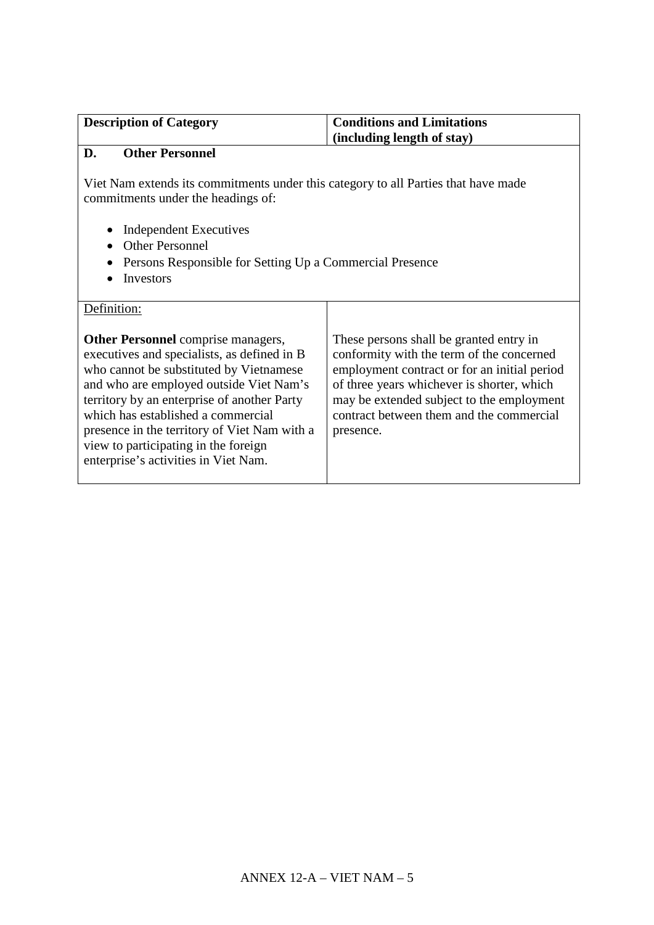| <b>Description of Category</b> | <b>Conditions and Limitations</b> |
|--------------------------------|-----------------------------------|
|                                | $\int$ (including length of stay) |

# **D. Other Personnel**

Viet Nam extends its commitments under this category to all Parties that have made commitments under the headings of:

- Independent Executives
- Other Personnel
- Persons Responsible for Setting Up a Commercial Presence
- Investors

| Definition:                                                                                                                                                                                                                                                                                                                                                                                         |                                                                                                                                                                                                                                                                                          |
|-----------------------------------------------------------------------------------------------------------------------------------------------------------------------------------------------------------------------------------------------------------------------------------------------------------------------------------------------------------------------------------------------------|------------------------------------------------------------------------------------------------------------------------------------------------------------------------------------------------------------------------------------------------------------------------------------------|
| <b>Other Personnel</b> comprise managers,<br>executives and specialists, as defined in B<br>who cannot be substituted by Vietnamese<br>and who are employed outside Viet Nam's<br>territory by an enterprise of another Party<br>which has established a commercial<br>presence in the territory of Viet Nam with a<br>view to participating in the foreign<br>enterprise's activities in Viet Nam. | These persons shall be granted entry in<br>conformity with the term of the concerned<br>employment contract or for an initial period<br>of three years whichever is shorter, which<br>may be extended subject to the employment<br>contract between them and the commercial<br>presence. |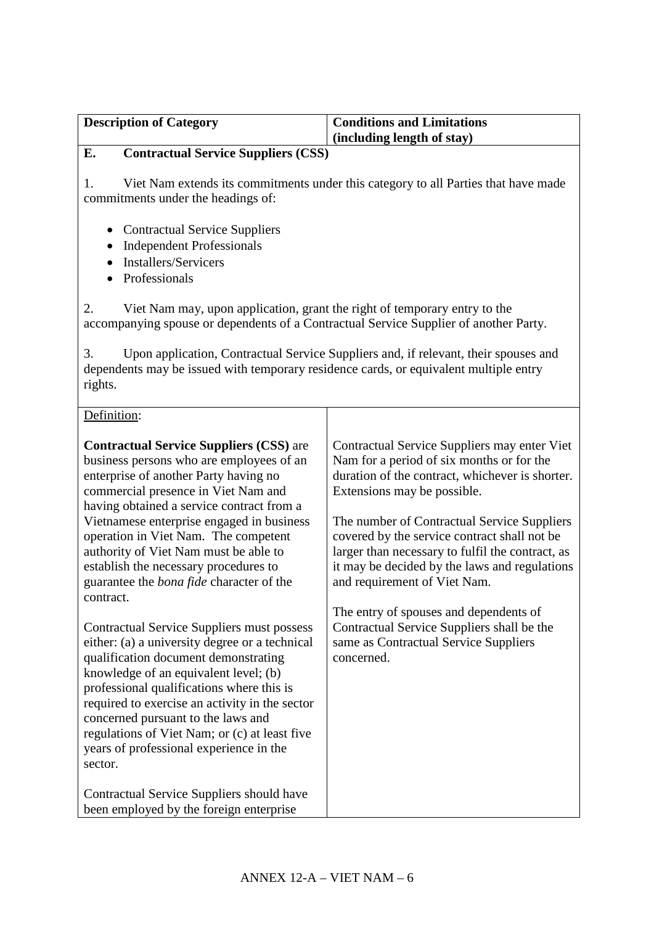| <b>Description of Category</b>                             | <b>Conditions and Limitations</b> |
|------------------------------------------------------------|-----------------------------------|
|                                                            | (including length of stay)        |
| $\alpha$ (and $\alpha$ is $\alpha$ if $\alpha$ is $\alpha$ |                                   |

### **E. Contractual Service Suppliers (CSS)**

1. Viet Nam extends its commitments under this category to all Parties that have made commitments under the headings of:

- Contractual Service Suppliers
- Independent Professionals
- Installers/Servicers
- Professionals

2. Viet Nam may, upon application, grant the right of temporary entry to the accompanying spouse or dependents of a Contractual Service Supplier of another Party.

3. Upon application, Contractual Service Suppliers and, if relevant, their spouses and dependents may be issued with temporary residence cards, or equivalent multiple entry rights.

#### Definition: **Contractual Service Suppliers (CSS)** are business persons who are employees of an enterprise of another Party having no commercial presence in Viet Nam and having obtained a service contract from a Vietnamese enterprise engaged in business operation in Viet Nam. The competent authority of Viet Nam must be able to establish the necessary procedures to guarantee the *bona fide* character of the contract. Contractual Service Suppliers must possess either: (a) a university degree or a technical qualification document demonstrating knowledge of an equivalent level; (b) professional qualifications where this is required to exercise an activity in the sector concerned pursuant to the laws and regulations of Viet Nam; or (c) at least five years of professional experience in the sector. Contractual Service Suppliers should have been employed by the foreign enterprise Contractual Service Suppliers may enter Viet Nam for a period of six months or for the duration of the contract, whichever is shorter. Extensions may be possible. The number of Contractual Service Suppliers covered by the service contract shall not be larger than necessary to fulfil the contract, as it may be decided by the laws and regulations and requirement of Viet Nam. The entry of spouses and dependents of Contractual Service Suppliers shall be the same as Contractual Service Suppliers concerned.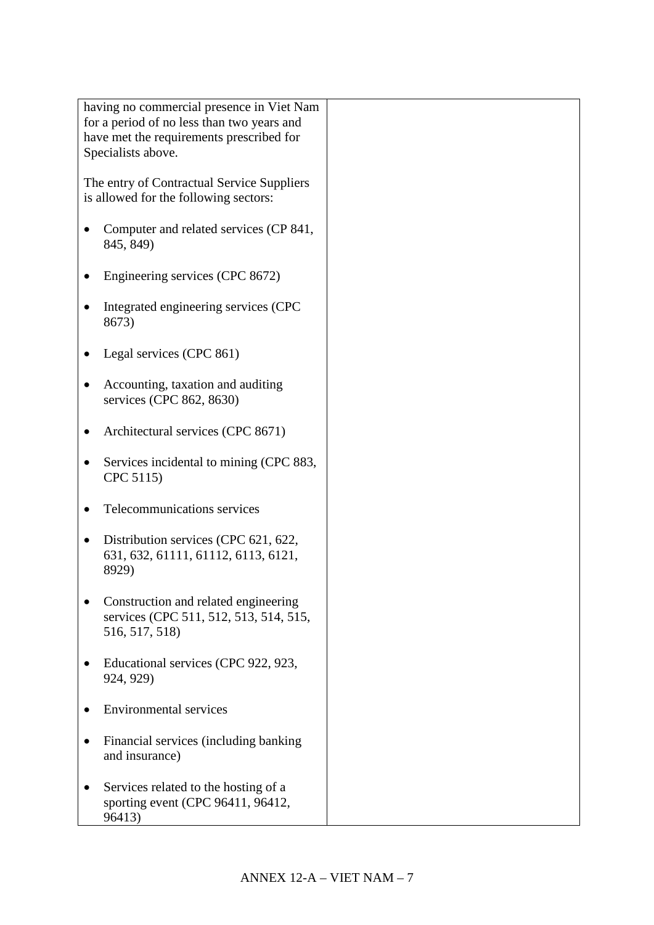|  | having no commercial presence in Viet Nam  |  |
|--|--------------------------------------------|--|
|  |                                            |  |
|  | for a period of no less than two years and |  |
|  | have met the requirements prescribed for   |  |
|  | Specialists above.                         |  |
|  |                                            |  |
|  |                                            |  |
|  | The entry of Contractual Service Suppliers |  |
|  | is allowed for the following sectors:      |  |
|  |                                            |  |
|  | Computer and related services (CP 841,     |  |
|  |                                            |  |
|  | 845, 849)                                  |  |
|  |                                            |  |
|  | Engineering services (CPC 8672)            |  |
|  |                                            |  |
|  |                                            |  |
|  | Integrated engineering services (CPC       |  |
|  | 8673)                                      |  |
|  |                                            |  |
|  | Legal services (CPC 861)                   |  |
|  |                                            |  |
|  |                                            |  |
|  | Accounting, taxation and auditing          |  |
|  | services (CPC 862, 8630)                   |  |
|  |                                            |  |
|  |                                            |  |
|  | Architectural services (CPC 8671)          |  |
|  |                                            |  |
|  | Services incidental to mining (CPC 883,    |  |
|  | CPC 5115)                                  |  |
|  |                                            |  |
|  | Telecommunications services                |  |
|  |                                            |  |
|  |                                            |  |
|  | Distribution services (CPC 621, 622,       |  |
|  | 631, 632, 61111, 61112, 6113, 6121,        |  |
|  | 8929)                                      |  |
|  |                                            |  |
|  |                                            |  |
|  | Construction and related engineering       |  |
|  | services (CPC 511, 512, 513, 514, 515,     |  |
|  | 516, 517, 518)                             |  |
|  |                                            |  |
|  |                                            |  |
|  | Educational services (CPC 922, 923,        |  |
|  | 924, 929)                                  |  |
|  |                                            |  |
|  | <b>Environmental services</b>              |  |
|  |                                            |  |
|  |                                            |  |
|  | Financial services (including banking      |  |
|  | and insurance)                             |  |
|  |                                            |  |
|  | Services related to the hosting of a       |  |
|  |                                            |  |
|  | sporting event (CPC 96411, 96412,          |  |
|  | 96413)                                     |  |